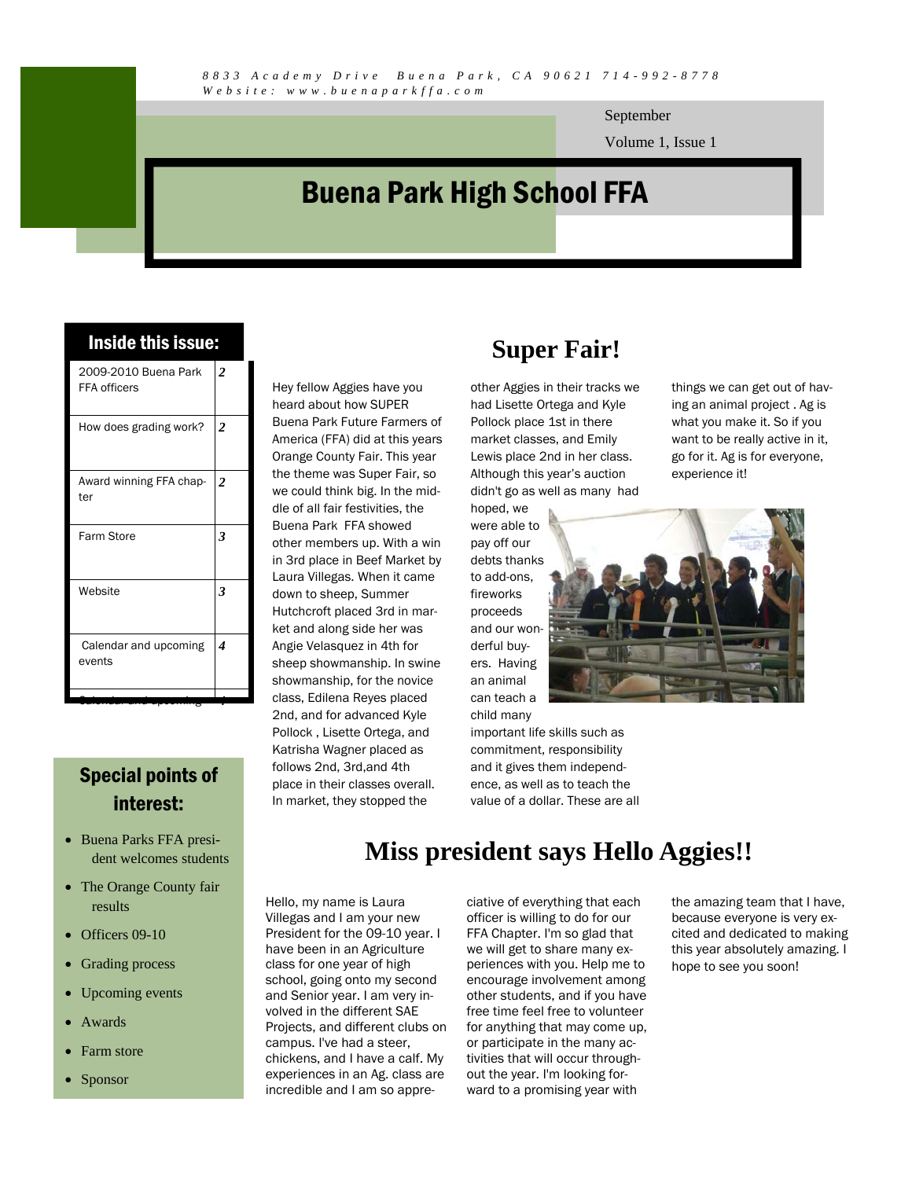September

Volume 1, Issue 1

## Buena Park High School FFA

| Inside this issue: |  |  |
|--------------------|--|--|
|                    |  |  |

| 2009-2010 Buena Park<br><b>FFA</b> officers | $\overline{2}$ |
|---------------------------------------------|----------------|
| How does grading work?                      | 2              |
| Award winning FFA chap-<br>ter              | 2              |
| Farm Store                                  | 3              |
| Website                                     | 3              |
| Calendar and upcoming<br>events             | 4              |
|                                             |                |

#### Special points of interest:

- Buena Parks FFA president welcomes students
- The Orange County fair results
- Officers 09-10
- Grading process
- Upcoming events
- **Awards**
- Farm store
- Sponsor

#### Hey fellow Aggies have you heard about how SUPER Buena Park Future Farmers of America (FFA) did at this years Orange County Fair. This year the theme was Super Fair, so we could think big. In the middle of all fair festivities, the Buena Park FFA showed other members up. With a win in 3rd place in Beef Market by Laura Villegas. When it came down to sheep, Summer Hutchcroft placed 3rd in market and along side her was Angie Velasquez in 4th for sheep showmanship. In swine showmanship, for the novice class, Edilena Reyes placed 2nd, and for advanced Kyle Pollock , Lisette Ortega, and Katrisha Wagner placed as follows 2nd, 3rd,and 4th place in their classes overall. In market, they stopped the

## **Super Fair!**

other Aggies in their tracks we had Lisette Ortega and Kyle Pollock place 1st in there market classes, and Emily Lewis place 2nd in her class. Although this year's auction didn't go as well as many had

hoped, we were able to pay off our debts thanks to add-ons, fireworks proceeds and our wonderful buyers. Having an animal can teach a

child many important life skills such as things we can get out of having an animal project . Ag is what you make it. So if you want to be really active in it, go for it. Ag is for everyone, experience it!



commitment, responsibility and it gives them independence, as well as to teach the value of a dollar. These are all

#### **Miss president says Hello Aggies!!**

Hello, my name is Laura Villegas and I am your new President for the 09-10 year. I have been in an Agriculture class for one year of high school, going onto my second and Senior year. I am very involved in the different SAE Projects, and different clubs on campus. I've had a steer, chickens, and I have a calf. My experiences in an Ag. class are incredible and I am so appreciative of everything that each officer is willing to do for our FFA Chapter. I'm so glad that we will get to share many experiences with you. Help me to encourage involvement among other students, and if you have free time feel free to volunteer for anything that may come up, or participate in the many activities that will occur throughout the year. I'm looking forward to a promising year with

the amazing team that I have, because everyone is very excited and dedicated to making this year absolutely amazing. I hope to see you soon!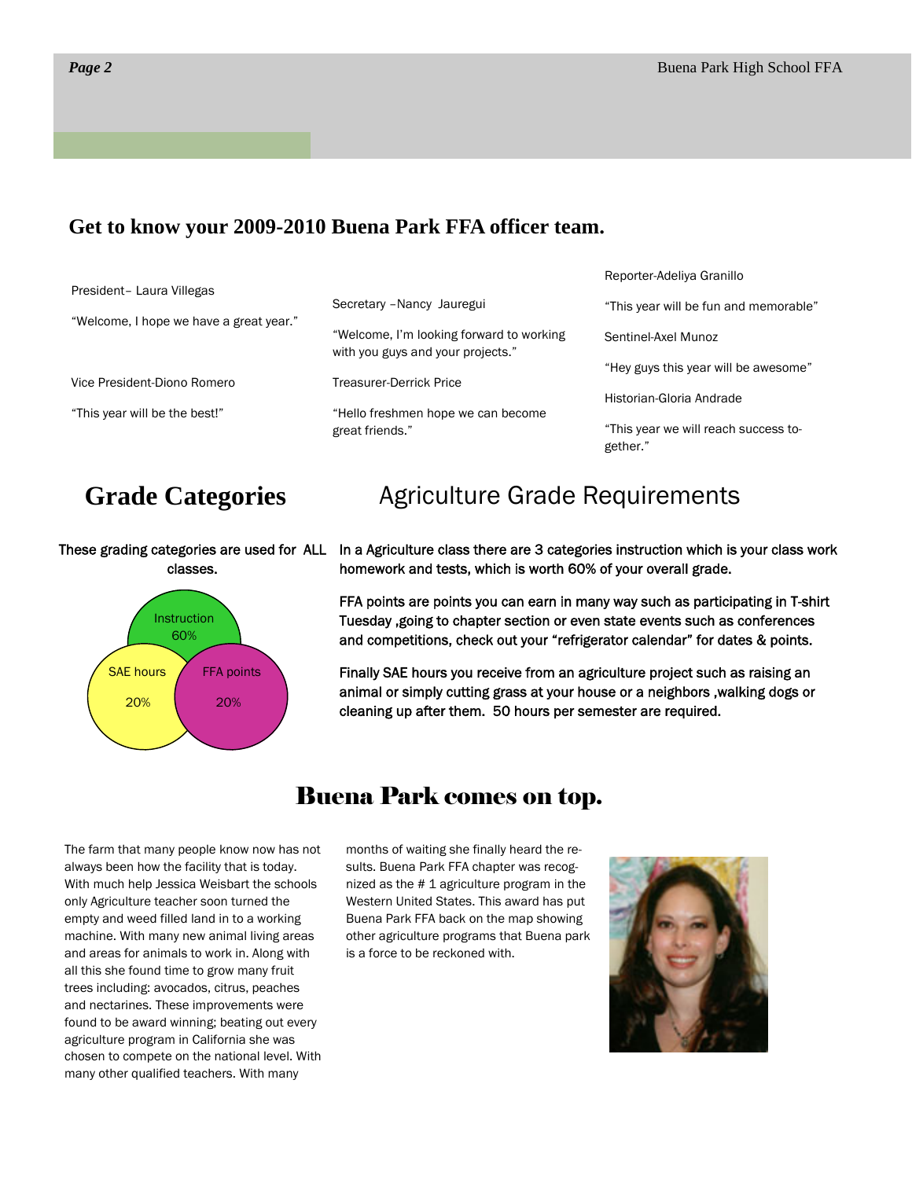#### **Get to know your 2009-2010 Buena Park FFA officer team.**

|                                         |                                                                               | Reporter-Adeliya Granillo                        |
|-----------------------------------------|-------------------------------------------------------------------------------|--------------------------------------------------|
| President- Laura Villegas               | Secretary - Nancy Jauregui                                                    | "This year will be fun and memorable"            |
| "Welcome, I hope we have a great year." | "Welcome, I'm looking forward to working<br>with you guys and your projects." | Sentinel-Axel Munoz                              |
| Vice President-Diono Romero             | <b>Treasurer-Derrick Price</b>                                                | "Hey guys this year will be awesome"             |
|                                         |                                                                               | Historian-Gloria Andrade                         |
| "This year will be the best!"           | "Hello freshmen hope we can become<br>great friends."                         | "This year we will reach success to-<br>gether." |

#### **Grade Categories**

classes.



## Agriculture Grade Requirements

These grading categories are used for ALL In a Agriculture class there are 3 categories instruction which is your class work homework and tests, which is worth 60% of your overall grade.

> FFA points are points you can earn in many way such as participating in T-shirt Tuesday ,going to chapter section or even state events such as conferences and competitions, check out your "refrigerator calendar" for dates & points.

Finally SAE hours you receive from an agriculture project such as raising an animal or simply cutting grass at your house or a neighbors ,walking dogs or cleaning up after them. 50 hours per semester are required.

The farm that many people know now has not always been how the facility that is today. With much help Jessica Weisbart the schools only Agriculture teacher soon turned the empty and weed filled land in to a working machine. With many new animal living areas and areas for animals to work in. Along with all this she found time to grow many fruit trees including: avocados, citrus, peaches and nectarines. These improvements were found to be award winning; beating out every agriculture program in California she was chosen to compete on the national level. With many other qualified teachers. With many

### Buena Park comes on top.

months of waiting she finally heard the results. Buena Park FFA chapter was recognized as the # 1 agriculture program in the Western United States. This award has put Buena Park FFA back on the map showing other agriculture programs that Buena park is a force to be reckoned with.

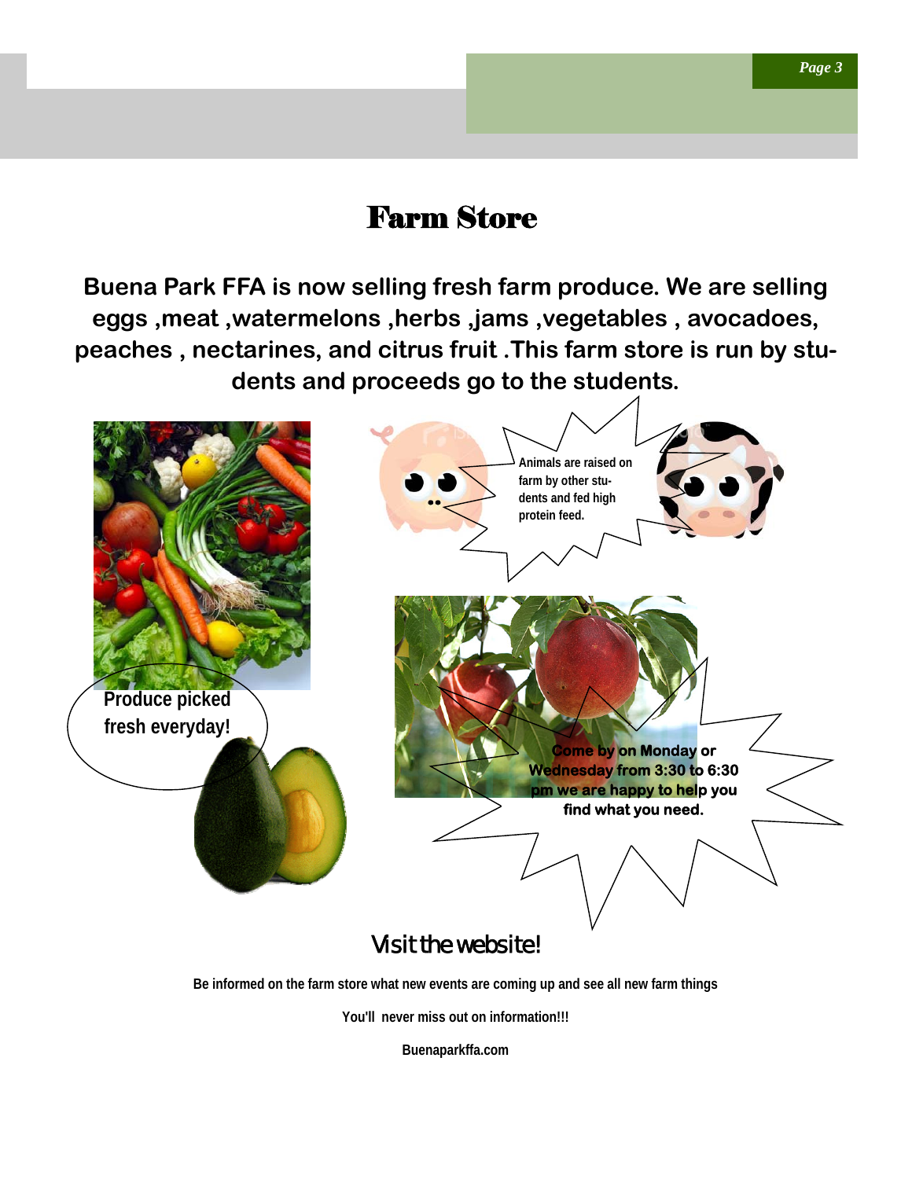## Farm Store

**Buena Park FFA is now selling fresh farm produce. We are selling eggs ,meat ,watermelons ,herbs ,jams ,vegetables , avocadoes, peaches , nectarines, and citrus fruit .This farm store is run by students and proceeds go to the students.** 



**You'll never miss out on information!!!** 

**Buenaparkffa.com**